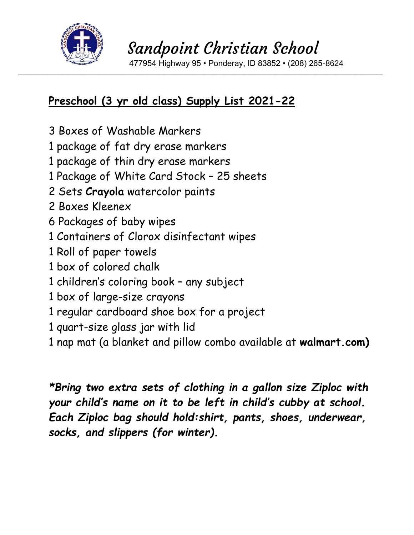

\_\_\_\_\_\_\_\_\_\_\_\_\_\_\_\_\_\_\_\_\_\_\_\_\_\_\_\_\_\_\_\_\_\_\_\_\_\_\_\_\_\_\_\_\_\_\_\_\_\_\_\_\_\_\_\_\_\_\_\_\_\_\_\_\_\_\_\_\_\_\_\_\_\_\_\_\_\_\_\_\_\_\_\_\_\_\_\_\_\_\_\_\_\_\_\_\_\_\_\_\_\_\_\_\_\_\_\_

477954 Highway 95 • Ponderay, ID 83852 • (208) 265-8624

### **Preschool (3 yr old class) Supply List 2021-22**

- 3 Boxes of Washable Markers
- 1 package of fat dry erase markers
- 1 package of thin dry erase markers
- 1 Package of White Card Stock 25 sheets
- 2 Sets **Crayola** watercolor paints
- 2 Boxes Kleenex
- 6 Packages of baby wipes
- 1 Containers of Clorox disinfectant wipes
- 1 Roll of paper towels
- 1 box of colored chalk
- 1 children's coloring book any subject
- 1 box of large-size crayons
- 1 regular cardboard shoe box for a project
- 1 quart-size glass jar with lid
- 1 nap mat (a blanket and pillow combo available at **walmart.com)**

*\*Bring two extra sets of clothing in a gallon size Ziploc with your child's name on it to be left in child's cubby at school. Each Ziploc bag should hold:shirt, pants, shoes, underwear, socks, and slippers (for winter).*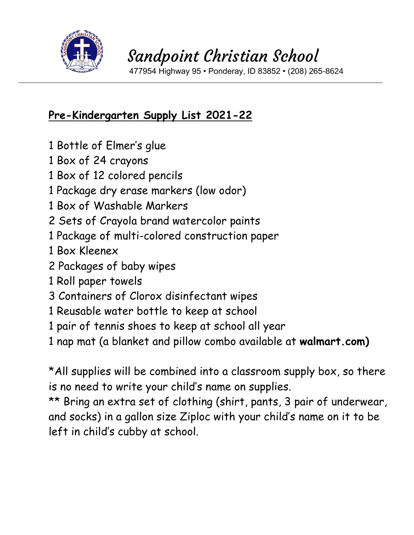

 477954 Highway 95 • Ponderay, ID 83852 • (208) 265-8624 \_\_\_\_\_\_\_\_\_\_\_\_\_\_\_\_\_\_\_\_\_\_\_\_\_\_\_\_\_\_\_\_\_\_\_\_\_\_\_\_\_\_\_\_\_\_\_\_\_\_\_\_\_\_\_\_\_\_\_\_\_\_\_\_\_\_\_\_\_\_\_\_\_\_\_\_\_\_\_\_\_\_\_\_\_\_\_\_\_\_\_\_\_\_\_\_\_\_\_\_\_\_\_\_\_\_\_\_

### **Pre-Kindergarten Supply List 2021-22**

- 1 Bottle of Elmer's glue
- 1 Box of 24 crayons
- 1 Box of 12 colored pencils
- 1 Package dry erase markers (low odor)
- 1 Box of Washable Markers
- 2 Sets of Crayola brand watercolor paints
- 1 Package of multi-colored construction paper
- 1 Box Kleenex
- 2 Packages of baby wipes
- 1 Roll paper towels
- 3 Containers of Clorox disinfectant wipes
- 1 Reusable water bottle to keep at school
- 1 pair of tennis shoes to keep at school all year
- 1 nap mat (a blanket and pillow combo available at **walmart.com)**

\*All supplies will be combined into a classroom supply box, so there is no need to write your child's name on supplies.

\*\* Bring an extra set of clothing (shirt, pants, 3 pair of underwear, and socks) in a gallon size Ziploc with your child's name on it to be left in child's cubby at school.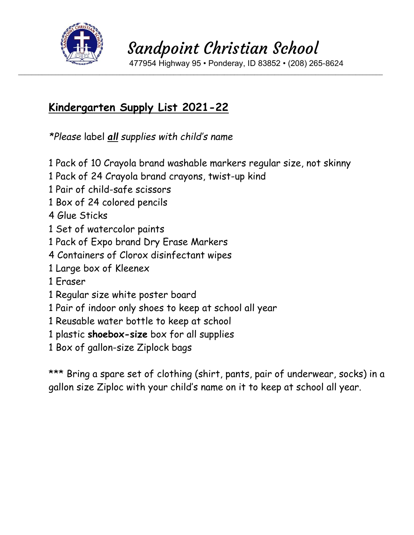

477954 Highway 95 • Ponderay, ID 83852 • (208) 265-8624

#### **Kindergarten Supply List 2021-22**

*\*Please* label *all supplies with child's name* 

1 Pack of 10 Crayola brand washable markers regular size, not skinny

\_\_\_\_\_\_\_\_\_\_\_\_\_\_\_\_\_\_\_\_\_\_\_\_\_\_\_\_\_\_\_\_\_\_\_\_\_\_\_\_\_\_\_\_\_\_\_\_\_\_\_\_\_\_\_\_\_\_\_\_\_\_\_\_\_\_\_\_\_\_\_\_\_\_\_\_\_\_\_\_\_\_\_\_\_\_\_\_\_\_\_\_\_\_\_\_\_\_\_\_\_\_\_\_\_\_\_\_

- 1 Pack of 24 Crayola brand crayons, twist-up kind
- 1 Pair of child-safe scissors
- 1 Box of 24 colored pencils
- 4 Glue Sticks
- 1 Set of watercolor paints
- 1 Pack of Expo brand Dry Erase Markers
- 4 Containers of Clorox disinfectant wipes
- 1 Large box of Kleenex
- 1 Eraser
- 1 Regular size white poster board
- 1 Pair of indoor only shoes to keep at school all year
- 1 Reusable water bottle to keep at school
- 1 plastic **shoebox-size** box for all supplies
- 1 Box of gallon-size Ziplock bags

\*\*\* Bring a spare set of clothing (shirt, pants, pair of underwear, socks) in a gallon size Ziploc with your child's name on it to keep at school all year.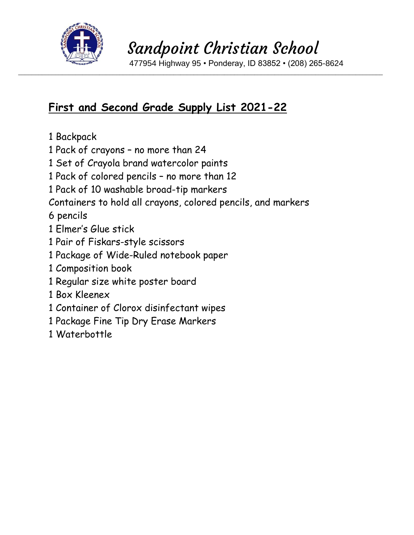

\_\_\_\_\_\_\_\_\_\_\_\_\_\_\_\_\_\_\_\_\_\_\_\_\_\_\_\_\_\_\_\_\_\_\_\_\_\_\_\_\_\_\_\_\_\_\_\_\_\_\_\_\_\_\_\_\_\_\_\_\_\_\_\_\_\_\_\_\_\_\_\_\_\_\_\_\_\_\_\_\_\_\_\_\_\_\_\_\_\_\_\_\_\_\_\_\_\_\_\_\_\_\_\_\_\_\_\_

477954 Highway 95 • Ponderay, ID 83852 • (208) 265-8624

### **First and Second Grade Supply List 2021-22**

- 1 Backpack
- 1 Pack of crayons no more than 24
- 1 Set of Crayola brand watercolor paints
- 1 Pack of colored pencils no more than 12
- 1 Pack of 10 washable broad-tip markers
- Containers to hold all crayons, colored pencils, and markers

6 pencils

- 1 Elmer's Glue stick
- 1 Pair of Fiskars-style scissors
- 1 Package of Wide-Ruled notebook paper
- 1 Composition book
- 1 Regular size white poster board
- 1 Box Kleenex
- 1 Container of Clorox disinfectant wipes
- 1 Package Fine Tip Dry Erase Markers
- 1 Waterbottle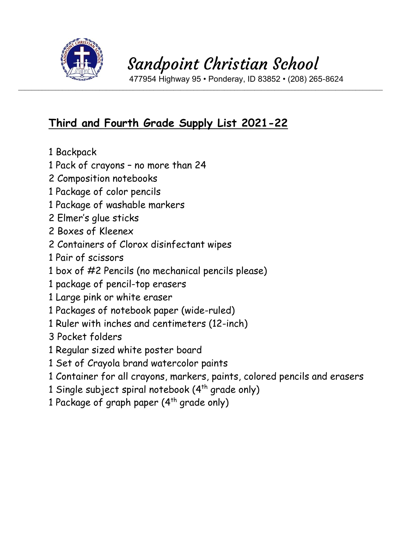

\_\_\_\_\_\_\_\_\_\_\_\_\_\_\_\_\_\_\_\_\_\_\_\_\_\_\_\_\_\_\_\_\_\_\_\_\_\_\_\_\_\_\_\_\_\_\_\_\_\_\_\_\_\_\_\_\_\_\_\_\_\_\_\_\_\_\_\_\_\_\_\_\_\_\_\_\_\_\_\_\_\_\_\_\_\_\_\_\_\_\_\_\_\_\_\_\_\_\_\_\_\_\_\_\_\_\_\_

477954 Highway 95 • Ponderay, ID 83852 • (208) 265-8624

### **Third and Fourth Grade Supply List 2021-22**

- 1 Backpack
- 1 Pack of crayons no more than 24
- 2 Composition notebooks
- 1 Package of color pencils
- 1 Package of washable markers
- 2 Elmer's glue sticks
- 2 Boxes of Kleenex
- 2 Containers of Clorox disinfectant wipes
- 1 Pair of scissors
- 1 box of #2 Pencils (no mechanical pencils please)
- 1 package of pencil-top erasers
- 1 Large pink or white eraser
- 1 Packages of notebook paper (wide-ruled)
- 1 Ruler with inches and centimeters (12-inch)
- 3 Pocket folders
- 1 Regular sized white poster board
- 1 Set of Crayola brand watercolor paints
- 1 Container for all crayons, markers, paints, colored pencils and erasers
- 1 Single subject spiral notebook (4<sup>th</sup> grade only)
- 1 Package of graph paper  $(4^{th}$  grade only)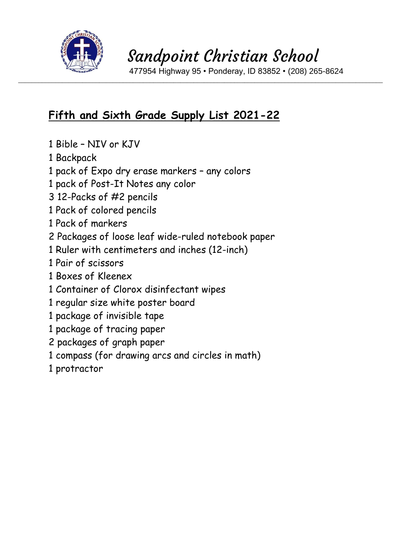

\_\_\_\_\_\_\_\_\_\_\_\_\_\_\_\_\_\_\_\_\_\_\_\_\_\_\_\_\_\_\_\_\_\_\_\_\_\_\_\_\_\_\_\_\_\_\_\_\_\_\_\_\_\_\_\_\_\_\_\_\_\_\_\_\_\_\_\_\_\_\_\_\_\_\_\_\_\_\_\_\_\_\_\_\_\_\_\_\_\_\_\_\_\_\_\_\_\_\_\_\_\_\_\_\_\_\_\_

477954 Highway 95 • Ponderay, ID 83852 • (208) 265-8624

### **Fifth and Sixth Grade Supply List 2021-22**

- 1 Bible NIV or KJV
- 1 Backpack
- 1 pack of Expo dry erase markers any colors
- 1 pack of Post-It Notes any color
- 3 12-Packs of #2 pencils
- 1 Pack of colored pencils
- 1 Pack of markers
- 2 Packages of loose leaf wide-ruled notebook paper
- 1 Ruler with centimeters and inches (12-inch)
- 1 Pair of scissors
- 1 Boxes of Kleenex
- 1 Container of Clorox disinfectant wipes
- 1 regular size white poster board
- 1 package of invisible tape
- 1 package of tracing paper
- 2 packages of graph paper
- 1 compass (for drawing arcs and circles in math)
- 1 protractor